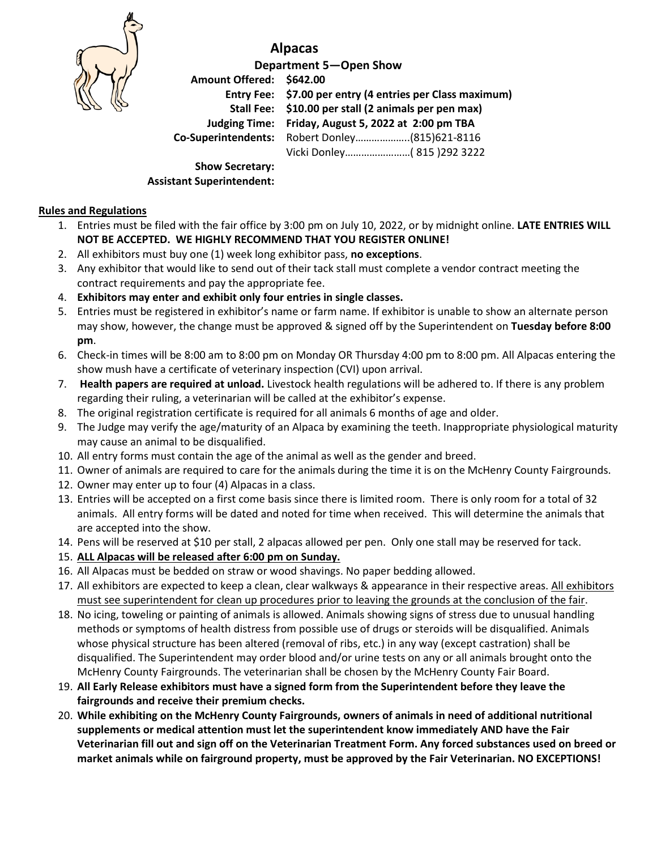

## **Alpacas**

**Department 5—Open Show Amount Offered: \$642.00 Entry Fee: \$7.00 per entry (4 entries per Class maximum) Stall Fee: \$10.00 per stall (2 animals per pen max) Judging Time: Friday, August 5, 2022 at 2:00 pm TBA Co-Superintendents:** Robert Donley………………..(815)621-8116 Vicki Donley……………………( 815 )292 3222

**Show Secretary: Assistant Superintendent:** 

## **Rules and Regulations**

- 1. Entries must be filed with the fair office by 3:00 pm on July 10, 2022, or by midnight online. **LATE ENTRIES WILL NOT BE ACCEPTED. WE HIGHLY RECOMMEND THAT YOU REGISTER ONLINE!**
- 2. All exhibitors must buy one (1) week long exhibitor pass, **no exceptions**.
- 3. Any exhibitor that would like to send out of their tack stall must complete a vendor contract meeting the contract requirements and pay the appropriate fee.
- 4. **Exhibitors may enter and exhibit only four entries in single classes.**
- 5. Entries must be registered in exhibitor's name or farm name. If exhibitor is unable to show an alternate person may show, however, the change must be approved & signed off by the Superintendent on **Tuesday before 8:00 pm**.
- 6. Check-in times will be 8:00 am to 8:00 pm on Monday OR Thursday 4:00 pm to 8:00 pm. All Alpacas entering the show mush have a certificate of veterinary inspection (CVI) upon arrival.
- 7. **Health papers are required at unload.** Livestock health regulations will be adhered to. If there is any problem regarding their ruling, a veterinarian will be called at the exhibitor's expense.
- 8. The original registration certificate is required for all animals 6 months of age and older.
- 9. The Judge may verify the age/maturity of an Alpaca by examining the teeth. Inappropriate physiological maturity may cause an animal to be disqualified.
- 10. All entry forms must contain the age of the animal as well as the gender and breed.
- 11. Owner of animals are required to care for the animals during the time it is on the McHenry County Fairgrounds.
- 12. Owner may enter up to four (4) Alpacas in a class.
- 13. Entries will be accepted on a first come basis since there is limited room. There is only room for a total of 32 animals. All entry forms will be dated and noted for time when received. This will determine the animals that are accepted into the show.
- 14. Pens will be reserved at \$10 per stall, 2 alpacas allowed per pen. Only one stall may be reserved for tack.
- 15. **ALL Alpacas will be released after 6:00 pm on Sunday.**
- 16. All Alpacas must be bedded on straw or wood shavings. No paper bedding allowed.
- 17. All exhibitors are expected to keep a clean, clear walkways & appearance in their respective areas. All exhibitors must see superintendent for clean up procedures prior to leaving the grounds at the conclusion of the fair.
- 18. No icing, toweling or painting of animals is allowed. Animals showing signs of stress due to unusual handling methods or symptoms of health distress from possible use of drugs or steroids will be disqualified. Animals whose physical structure has been altered (removal of ribs, etc.) in any way (except castration) shall be disqualified. The Superintendent may order blood and/or urine tests on any or all animals brought onto the McHenry County Fairgrounds. The veterinarian shall be chosen by the McHenry County Fair Board.
- 19. **All Early Release exhibitors must have a signed form from the Superintendent before they leave the fairgrounds and receive their premium checks.**
- 20. **While exhibiting on the McHenry County Fairgrounds, owners of animals in need of additional nutritional supplements or medical attention must let the superintendent know immediately AND have the Fair Veterinarian fill out and sign off on the Veterinarian Treatment Form. Any forced substances used on breed or market animals while on fairground property, must be approved by the Fair Veterinarian. NO EXCEPTIONS!**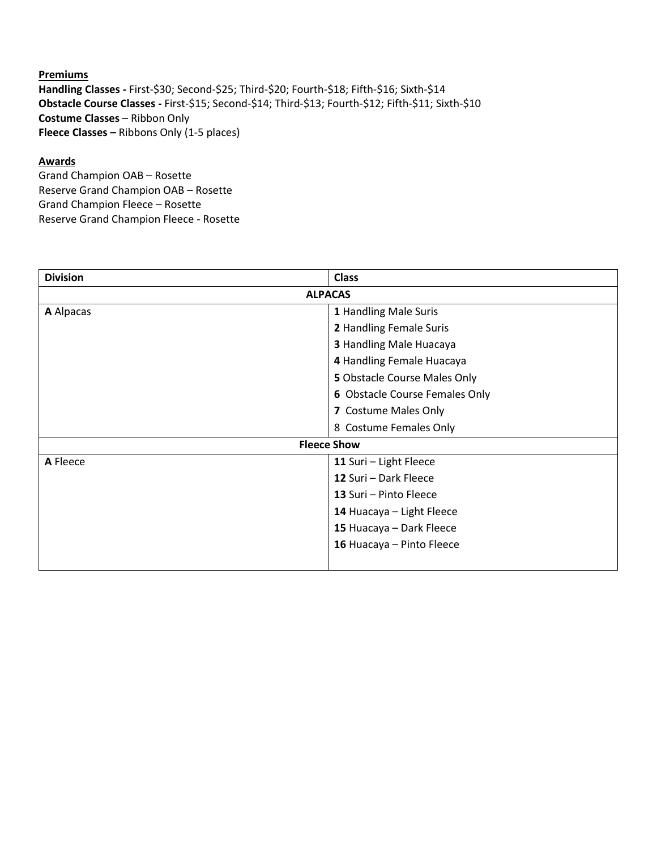**Premiums Handling Classes -** First-\$30; Second-\$25; Third-\$20; Fourth-\$18; Fifth-\$16; Sixth-\$14 **Obstacle Course Classes -** First-\$15; Second-\$14; Third-\$13; Fourth-\$12; Fifth-\$11; Sixth-\$10 **Costume Classes** – Ribbon Only **Fleece Classes –** Ribbons Only (1-5 places)

## **Awards**

Grand Champion OAB – Rosette Reserve Grand Champion OAB – Rosette Grand Champion Fleece – Rosette Reserve Grand Champion Fleece - Rosette

| <b>Division</b>    | <b>Class</b>                   |  |  |  |  |
|--------------------|--------------------------------|--|--|--|--|
| <b>ALPACAS</b>     |                                |  |  |  |  |
| A Alpacas          | 1 Handling Male Suris          |  |  |  |  |
|                    | 2 Handling Female Suris        |  |  |  |  |
|                    | 3 Handling Male Huacaya        |  |  |  |  |
|                    | 4 Handling Female Huacaya      |  |  |  |  |
|                    | 5 Obstacle Course Males Only   |  |  |  |  |
|                    | 6 Obstacle Course Females Only |  |  |  |  |
|                    | 7 Costume Males Only           |  |  |  |  |
|                    | 8 Costume Females Only         |  |  |  |  |
| <b>Fleece Show</b> |                                |  |  |  |  |
| A Fleece           | 11 Suri - Light Fleece         |  |  |  |  |
|                    | 12 Suri - Dark Fleece          |  |  |  |  |
|                    | 13 Suri - Pinto Fleece         |  |  |  |  |
|                    | 14 Huacaya - Light Fleece      |  |  |  |  |
|                    | 15 Huacaya - Dark Fleece       |  |  |  |  |
|                    | 16 Huacaya - Pinto Fleece      |  |  |  |  |
|                    |                                |  |  |  |  |